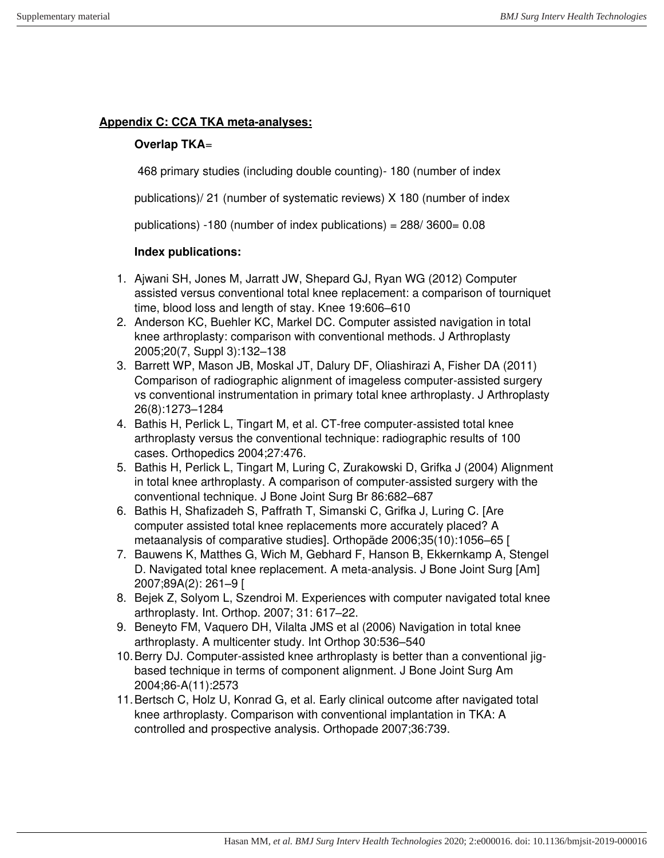## **Appendix C: CCA TKA meta-analyses:**

## **Overlap TKA**=

468 primary studies (including double counting)- 180 (number of index

publications)/ 21 (number of systematic reviews) X 180 (number of index

publications) -180 (number of index publications) = 288/ 3600= 0.08

## **Index publications:**

- 1. Ajwani SH, Jones M, Jarratt JW, Shepard GJ, Ryan WG (2012) Computer assisted versus conventional total knee replacement: a comparison of tourniquet time, blood loss and length of stay. Knee 19:606–610
- 2. Anderson KC, Buehler KC, Markel DC. Computer assisted navigation in total knee arthroplasty: comparison with conventional methods. J Arthroplasty 2005;20(7, Suppl 3):132–138
- 3. Barrett WP, Mason JB, Moskal JT, Dalury DF, Oliashirazi A, Fisher DA (2011) Comparison of radiographic alignment of imageless computer-assisted surgery vs conventional instrumentation in primary total knee arthroplasty. J Arthroplasty 26(8):1273–1284
- 4. Bathis H, Perlick L, Tingart M, et al. CT-free computer-assisted total knee arthroplasty versus the conventional technique: radiographic results of 100 cases. Orthopedics 2004;27:476.
- 5. Bathis H, Perlick L, Tingart M, Luring C, Zurakowski D, Grifka J (2004) Alignment in total knee arthroplasty. A comparison of computer-assisted surgery with the conventional technique. J Bone Joint Surg Br 86:682–687
- 6. Bathis H, Shafizadeh S, Paffrath T, Simanski C, Grifka J, Luring C. [Are computer assisted total knee replacements more accurately placed? A metaanalysis of comparative studies]. Orthopäde 2006;35(10):1056–65 [
- 7. Bauwens K, Matthes G, Wich M, Gebhard F, Hanson B, Ekkernkamp A, Stengel D. Navigated total knee replacement. A meta-analysis. J Bone Joint Surg [Am] 2007;89A(2): 261–9 [
- 8. Bejek Z, Solyom L, Szendroi M. Experiences with computer navigated total knee arthroplasty. Int. Orthop. 2007; 31: 617–22.
- 9. Beneyto FM, Vaquero DH, Vilalta JMS et al (2006) Navigation in total knee arthroplasty. A multicenter study. Int Orthop 30:536–540
- 10. Berry DJ. Computer-assisted knee arthroplasty is better than a conventional jigbased technique in terms of component alignment. J Bone Joint Surg Am 2004;86-A(11):2573
- 11. Bertsch C, Holz U, Konrad G, et al. Early clinical outcome after navigated total knee arthroplasty. Comparison with conventional implantation in TKA: A controlled and prospective analysis. Orthopade 2007;36:739.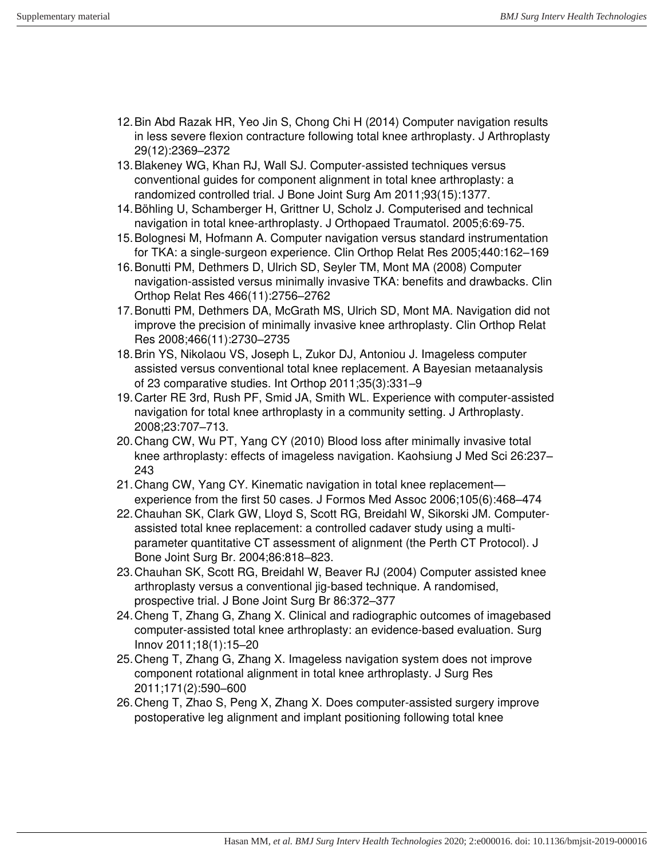- 12. Bin Abd Razak HR, Yeo Jin S, Chong Chi H (2014) Computer navigation results in less severe flexion contracture following total knee arthroplasty. J Arthroplasty 29(12):2369–2372
- 13. Blakeney WG, Khan RJ, Wall SJ. Computer-assisted techniques versus conventional guides for component alignment in total knee arthroplasty: a randomized controlled trial. J Bone Joint Surg Am 2011;93(15):1377.
- 14. Böhling U, Schamberger H, Grittner U, Scholz J. Computerised and technical navigation in total knee-arthroplasty. J Orthopaed Traumatol. 2005;6:69-75.
- 15. Bolognesi M, Hofmann A. Computer navigation versus standard instrumentation for TKA: a single-surgeon experience. Clin Orthop Relat Res 2005;440:162–169
- 16. Bonutti PM, Dethmers D, Ulrich SD, Seyler TM, Mont MA (2008) Computer navigation-assisted versus minimally invasive TKA: benefits and drawbacks. Clin Orthop Relat Res 466(11):2756–2762
- 17. Bonutti PM, Dethmers DA, McGrath MS, Ulrich SD, Mont MA. Navigation did not improve the precision of minimally invasive knee arthroplasty. Clin Orthop Relat Res 2008;466(11):2730–2735
- 18. Brin YS, Nikolaou VS, Joseph L, Zukor DJ, Antoniou J. Imageless computer assisted versus conventional total knee replacement. A Bayesian metaanalysis of 23 comparative studies. Int Orthop 2011;35(3):331–9
- 19. Carter RE 3rd, Rush PF, Smid JA, Smith WL. Experience with computer-assisted navigation for total knee arthroplasty in a community setting. J Arthroplasty. 2008;23:707–713.
- 20. Chang CW, Wu PT, Yang CY (2010) Blood loss after minimally invasive total knee arthroplasty: effects of imageless navigation. Kaohsiung J Med Sci 26:237– 243
- 21. Chang CW, Yang CY. Kinematic navigation in total knee replacement experience from the first 50 cases. J Formos Med Assoc 2006;105(6):468–474
- 22. Chauhan SK, Clark GW, Lloyd S, Scott RG, Breidahl W, Sikorski JM. Computerassisted total knee replacement: a controlled cadaver study using a multiparameter quantitative CT assessment of alignment (the Perth CT Protocol). J Bone Joint Surg Br. 2004;86:818–823.
- 23. Chauhan SK, Scott RG, Breidahl W, Beaver RJ (2004) Computer assisted knee arthroplasty versus a conventional jig-based technique. A randomised, prospective trial. J Bone Joint Surg Br 86:372–377
- 24. Cheng T, Zhang G, Zhang X. Clinical and radiographic outcomes of imagebased computer-assisted total knee arthroplasty: an evidence-based evaluation. Surg Innov 2011;18(1):15–20
- 25. Cheng T, Zhang G, Zhang X. Imageless navigation system does not improve component rotational alignment in total knee arthroplasty. J Surg Res 2011;171(2):590–600
- 26. Cheng T, Zhao S, Peng X, Zhang X. Does computer-assisted surgery improve postoperative leg alignment and implant positioning following total knee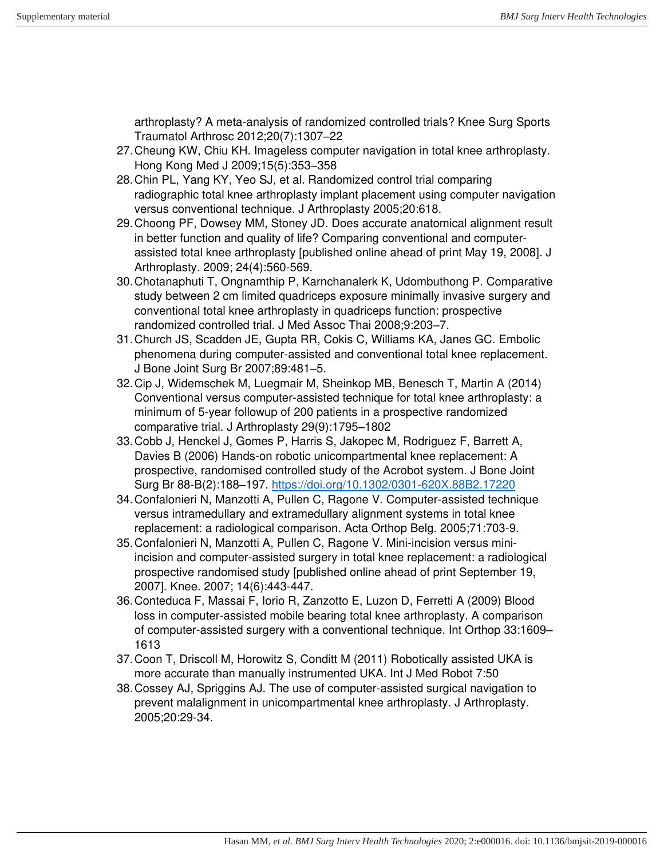arthroplasty? A meta-analysis of randomized controlled trials? Knee Surg Sports Traumatol Arthrosc 2012;20(7):1307–22

- 27. Cheung KW, Chiu KH. Imageless computer navigation in total knee arthroplasty. Hong Kong Med J 2009;15(5):353–358
- 28. Chin PL, Yang KY, Yeo SJ, et al. Randomized control trial comparing radiographic total knee arthroplasty implant placement using computer navigation versus conventional technique. J Arthroplasty 2005;20:618.
- 29. Choong PF, Dowsey MM, Stoney JD. Does accurate anatomical alignment result in better function and quality of life? Comparing conventional and computerassisted total knee arthroplasty [published online ahead of print May 19, 2008]. J Arthroplasty. 2009; 24(4):560-569.
- 30. Chotanaphuti T, Ongnamthip P, Karnchanalerk K, Udombuthong P. Comparative study between 2 cm limited quadriceps exposure minimally invasive surgery and conventional total knee arthroplasty in quadriceps function: prospective randomized controlled trial. J Med Assoc Thai 2008;9:203–7.
- 31. Church JS, Scadden JE, Gupta RR, Cokis C, Williams KA, Janes GC. Embolic phenomena during computer-assisted and conventional total knee replacement. J Bone Joint Surg Br 2007;89:481–5.
- 32. Cip J, Widemschek M, Luegmair M, Sheinkop MB, Benesch T, Martin A (2014) Conventional versus computer-assisted technique for total knee arthroplasty: a minimum of 5-year followup of 200 patients in a prospective randomized comparative trial. J Arthroplasty 29(9):1795–1802
- 33. Cobb J, Henckel J, Gomes P, Harris S, Jakopec M, Rodriguez F, Barrett A, Davies B (2006) Hands-on robotic unicompartmental knee replacement: A prospective, randomised controlled study of the Acrobot system. J Bone Joint Surg Br 88-B(2):188–197.<https://doi.org/10.1302/0301-620X.88B2.17220>
- 34. Confalonieri N, Manzotti A, Pullen C, Ragone V. Computer-assisted technique versus intramedullary and extramedullary alignment systems in total knee replacement: a radiological comparison. Acta Orthop Belg. 2005;71:703-9.
- 35. Confalonieri N, Manzotti A, Pullen C, Ragone V. Mini-incision versus miniincision and computer-assisted surgery in total knee replacement: a radiological prospective randomised study [published online ahead of print September 19, 2007]. Knee. 2007; 14(6):443-447.
- 36. Conteduca F, Massai F, Iorio R, Zanzotto E, Luzon D, Ferretti A (2009) Blood loss in computer-assisted mobile bearing total knee arthroplasty. A comparison of computer-assisted surgery with a conventional technique. Int Orthop 33:1609– 1613
- 37. Coon T, Driscoll M, Horowitz S, Conditt M (2011) Robotically assisted UKA is more accurate than manually instrumented UKA. Int J Med Robot 7:50
- 38. Cossey AJ, Spriggins AJ. The use of computer-assisted surgical navigation to prevent malalignment in unicompartmental knee arthroplasty. J Arthroplasty. 2005;20:29-34.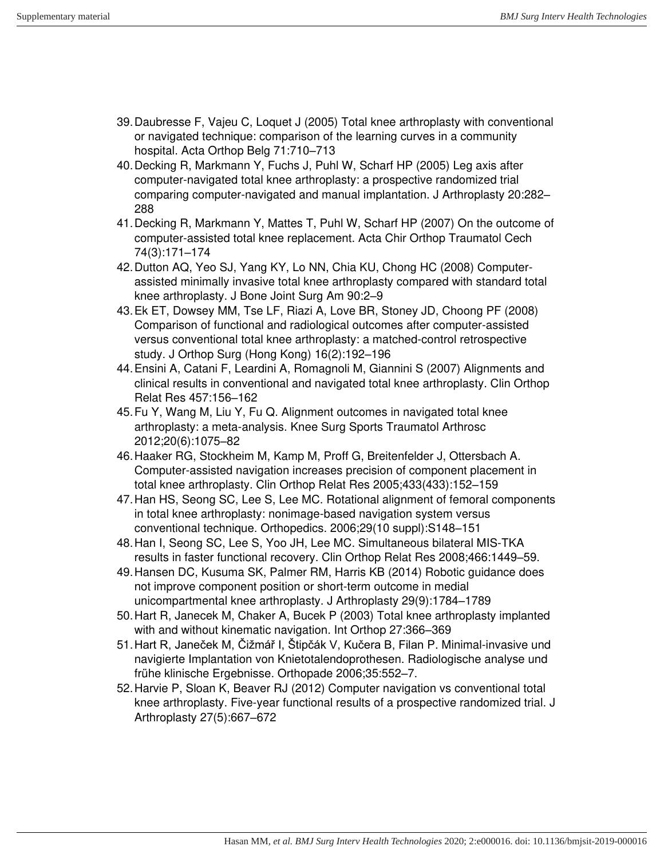- 39. Daubresse F, Vajeu C, Loquet J (2005) Total knee arthroplasty with conventional or navigated technique: comparison of the learning curves in a community hospital. Acta Orthop Belg 71:710–713
- 40. Decking R, Markmann Y, Fuchs J, Puhl W, Scharf HP (2005) Leg axis after computer-navigated total knee arthroplasty: a prospective randomized trial comparing computer-navigated and manual implantation. J Arthroplasty 20:282– 288
- 41. Decking R, Markmann Y, Mattes T, Puhl W, Scharf HP (2007) On the outcome of computer-assisted total knee replacement. Acta Chir Orthop Traumatol Cech 74(3):171–174
- 42. Dutton AQ, Yeo SJ, Yang KY, Lo NN, Chia KU, Chong HC (2008) Computerassisted minimally invasive total knee arthroplasty compared with standard total knee arthroplasty. J Bone Joint Surg Am 90:2–9
- 43. Ek ET, Dowsey MM, Tse LF, Riazi A, Love BR, Stoney JD, Choong PF (2008) Comparison of functional and radiological outcomes after computer-assisted versus conventional total knee arthroplasty: a matched-control retrospective study. J Orthop Surg (Hong Kong) 16(2):192–196
- 44. Ensini A, Catani F, Leardini A, Romagnoli M, Giannini S (2007) Alignments and clinical results in conventional and navigated total knee arthroplasty. Clin Orthop Relat Res 457:156–162
- 45. Fu Y, Wang M, Liu Y, Fu Q. Alignment outcomes in navigated total knee arthroplasty: a meta-analysis. Knee Surg Sports Traumatol Arthrosc 2012;20(6):1075–82
- 46. Haaker RG, Stockheim M, Kamp M, Proff G, Breitenfelder J, Ottersbach A. Computer-assisted navigation increases precision of component placement in total knee arthroplasty. Clin Orthop Relat Res 2005;433(433):152–159
- 47. Han HS, Seong SC, Lee S, Lee MC. Rotational alignment of femoral components in total knee arthroplasty: nonimage-based navigation system versus conventional technique. Orthopedics. 2006;29(10 suppl):S148–151
- 48. Han I, Seong SC, Lee S, Yoo JH, Lee MC. Simultaneous bilateral MIS-TKA results in faster functional recovery. Clin Orthop Relat Res 2008;466:1449–59.
- 49. Hansen DC, Kusuma SK, Palmer RM, Harris KB (2014) Robotic guidance does not improve component position or short-term outcome in medial unicompartmental knee arthroplasty. J Arthroplasty 29(9):1784–1789
- 50. Hart R, Janecek M, Chaker A, Bucek P (2003) Total knee arthroplasty implanted with and without kinematic navigation. Int Orthop 27:366–369
- 51.Hart R, Janeček M, Čižmář I, Štipčák V, Kučera B, Filan P. Minimal-invasive und navigierte Implantation von Knietotalendoprothesen. Radiologische analyse und frühe klinische Ergebnisse. Orthopade 2006;35:552–7.
- 52. Harvie P, Sloan K, Beaver RJ (2012) Computer navigation vs conventional total knee arthroplasty. Five-year functional results of a prospective randomized trial. J Arthroplasty 27(5):667–672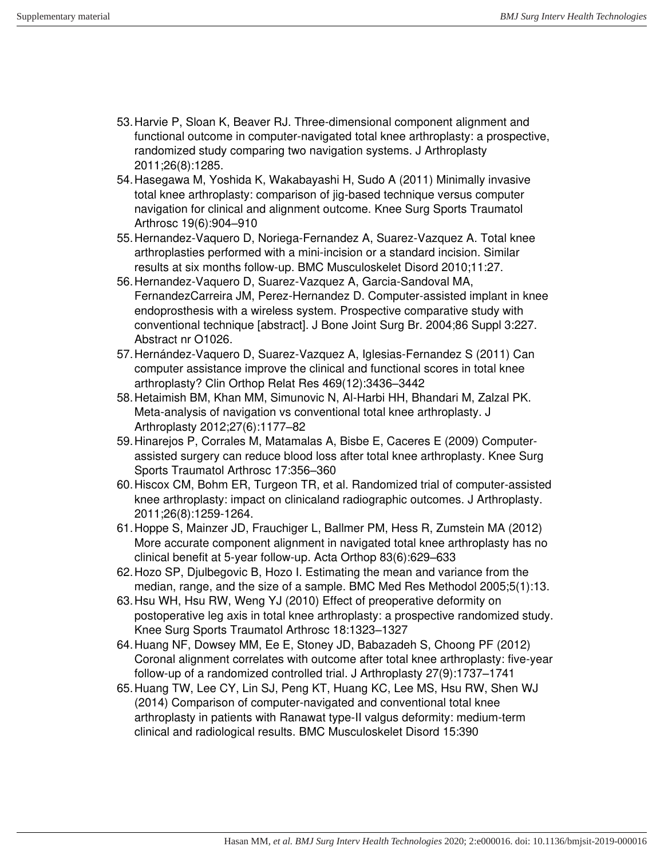- 53. Harvie P, Sloan K, Beaver RJ. Three-dimensional component alignment and functional outcome in computer-navigated total knee arthroplasty: a prospective, randomized study comparing two navigation systems. J Arthroplasty 2011;26(8):1285.
- 54. Hasegawa M, Yoshida K, Wakabayashi H, Sudo A (2011) Minimally invasive total knee arthroplasty: comparison of jig-based technique versus computer navigation for clinical and alignment outcome. Knee Surg Sports Traumatol Arthrosc 19(6):904–910
- 55. Hernandez-Vaquero D, Noriega-Fernandez A, Suarez-Vazquez A. Total knee arthroplasties performed with a mini-incision or a standard incision. Similar results at six months follow-up. BMC Musculoskelet Disord 2010;11:27.
- 56. Hernandez-Vaquero D, Suarez-Vazquez A, Garcia-Sandoval MA, FernandezCarreira JM, Perez-Hernandez D. Computer-assisted implant in knee endoprosthesis with a wireless system. Prospective comparative study with conventional technique [abstract]. J Bone Joint Surg Br. 2004;86 Suppl 3:227. Abstract nr O1026.
- 57. Hernández-Vaquero D, Suarez-Vazquez A, Iglesias-Fernandez S (2011) Can computer assistance improve the clinical and functional scores in total knee arthroplasty? Clin Orthop Relat Res 469(12):3436–3442
- 58. Hetaimish BM, Khan MM, Simunovic N, Al-Harbi HH, Bhandari M, Zalzal PK. Meta-analysis of navigation vs conventional total knee arthroplasty. J Arthroplasty 2012;27(6):1177–82
- 59. Hinarejos P, Corrales M, Matamalas A, Bisbe E, Caceres E (2009) Computerassisted surgery can reduce blood loss after total knee arthroplasty. Knee Surg Sports Traumatol Arthrosc 17:356–360
- 60. Hiscox CM, Bohm ER, Turgeon TR, et al. Randomized trial of computer-assisted knee arthroplasty: impact on clinicaland radiographic outcomes. J Arthroplasty. 2011;26(8):1259-1264.
- 61. Hoppe S, Mainzer JD, Frauchiger L, Ballmer PM, Hess R, Zumstein MA (2012) More accurate component alignment in navigated total knee arthroplasty has no clinical benefit at 5-year follow-up. Acta Orthop 83(6):629–633
- 62. Hozo SP, Djulbegovic B, Hozo I. Estimating the mean and variance from the median, range, and the size of a sample. BMC Med Res Methodol 2005;5(1):13.
- 63. Hsu WH, Hsu RW, Weng YJ (2010) Effect of preoperative deformity on postoperative leg axis in total knee arthroplasty: a prospective randomized study. Knee Surg Sports Traumatol Arthrosc 18:1323–1327
- 64. Huang NF, Dowsey MM, Ee E, Stoney JD, Babazadeh S, Choong PF (2012) Coronal alignment correlates with outcome after total knee arthroplasty: five-year follow-up of a randomized controlled trial. J Arthroplasty 27(9):1737–1741
- 65. Huang TW, Lee CY, Lin SJ, Peng KT, Huang KC, Lee MS, Hsu RW, Shen WJ (2014) Comparison of computer-navigated and conventional total knee arthroplasty in patients with Ranawat type-II valgus deformity: medium-term clinical and radiological results. BMC Musculoskelet Disord 15:390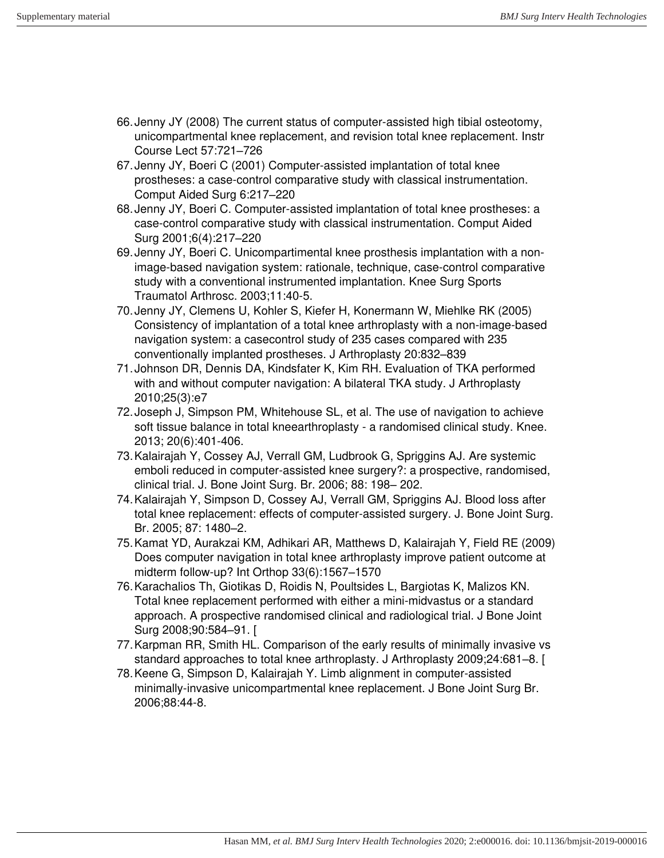- 66. Jenny JY (2008) The current status of computer-assisted high tibial osteotomy, unicompartmental knee replacement, and revision total knee replacement. Instr Course Lect 57:721–726
- 67. Jenny JY, Boeri C (2001) Computer-assisted implantation of total knee prostheses: a case-control comparative study with classical instrumentation. Comput Aided Surg 6:217–220
- 68. Jenny JY, Boeri C. Computer-assisted implantation of total knee prostheses: a case-control comparative study with classical instrumentation. Comput Aided Surg 2001;6(4):217–220
- 69. Jenny JY, Boeri C. Unicompartimental knee prosthesis implantation with a nonimage-based navigation system: rationale, technique, case-control comparative study with a conventional instrumented implantation. Knee Surg Sports Traumatol Arthrosc. 2003;11:40-5.
- 70. Jenny JY, Clemens U, Kohler S, Kiefer H, Konermann W, Miehlke RK (2005) Consistency of implantation of a total knee arthroplasty with a non-image-based navigation system: a casecontrol study of 235 cases compared with 235 conventionally implanted prostheses. J Arthroplasty 20:832–839
- 71. Johnson DR, Dennis DA, Kindsfater K, Kim RH. Evaluation of TKA performed with and without computer navigation: A bilateral TKA study. J Arthroplasty 2010;25(3):e7
- 72. Joseph J, Simpson PM, Whitehouse SL, et al. The use of navigation to achieve soft tissue balance in total kneearthroplasty - a randomised clinical study. Knee. 2013; 20(6):401-406.
- 73. Kalairajah Y, Cossey AJ, Verrall GM, Ludbrook G, Spriggins AJ. Are systemic emboli reduced in computer-assisted knee surgery?: a prospective, randomised, clinical trial. J. Bone Joint Surg. Br. 2006; 88: 198– 202.
- 74. Kalairajah Y, Simpson D, Cossey AJ, Verrall GM, Spriggins AJ. Blood loss after total knee replacement: effects of computer-assisted surgery. J. Bone Joint Surg. Br. 2005; 87: 1480–2.
- 75. Kamat YD, Aurakzai KM, Adhikari AR, Matthews D, Kalairajah Y, Field RE (2009) Does computer navigation in total knee arthroplasty improve patient outcome at midterm follow-up? Int Orthop 33(6):1567–1570
- 76. Karachalios Th, Giotikas D, Roidis N, Poultsides L, Bargiotas K, Malizos KN. Total knee replacement performed with either a mini-midvastus or a standard approach. A prospective randomised clinical and radiological trial. J Bone Joint Surg 2008;90:584–91. [
- 77. Karpman RR, Smith HL. Comparison of the early results of minimally invasive vs standard approaches to total knee arthroplasty. J Arthroplasty 2009;24:681–8. [
- 78. Keene G, Simpson D, Kalairajah Y. Limb alignment in computer-assisted minimally-invasive unicompartmental knee replacement. J Bone Joint Surg Br. 2006;88:44-8.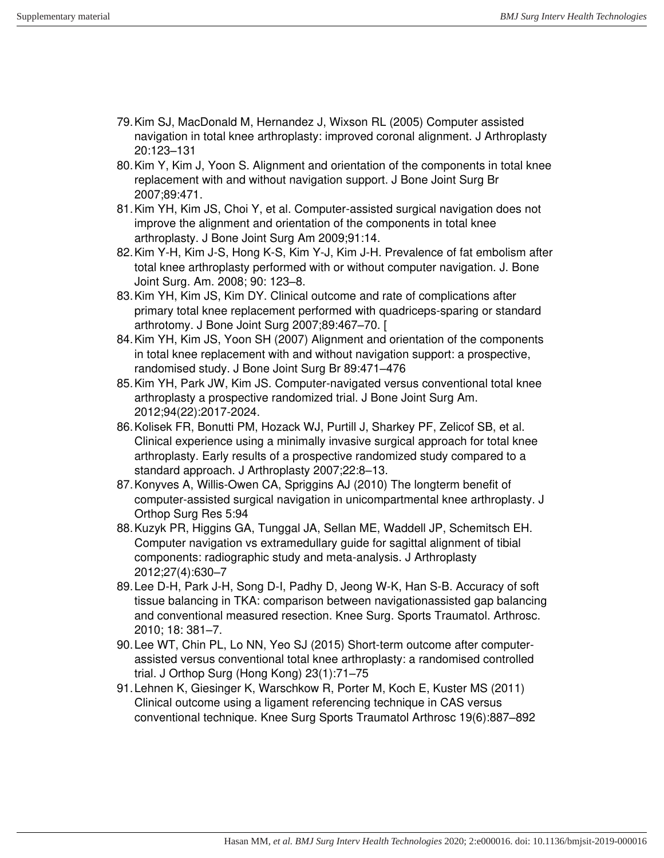- 79. Kim SJ, MacDonald M, Hernandez J, Wixson RL (2005) Computer assisted navigation in total knee arthroplasty: improved coronal alignment. J Arthroplasty 20:123–131
- 80. Kim Y, Kim J, Yoon S. Alignment and orientation of the components in total knee replacement with and without navigation support. J Bone Joint Surg Br 2007;89:471.
- 81. Kim YH, Kim JS, Choi Y, et al. Computer-assisted surgical navigation does not improve the alignment and orientation of the components in total knee arthroplasty. J Bone Joint Surg Am 2009;91:14.
- 82. Kim Y-H, Kim J-S, Hong K-S, Kim Y-J, Kim J-H. Prevalence of fat embolism after total knee arthroplasty performed with or without computer navigation. J. Bone Joint Surg. Am. 2008; 90: 123–8.
- 83. Kim YH, Kim JS, Kim DY. Clinical outcome and rate of complications after primary total knee replacement performed with quadriceps-sparing or standard arthrotomy. J Bone Joint Surg 2007;89:467–70. [
- 84. Kim YH, Kim JS, Yoon SH (2007) Alignment and orientation of the components in total knee replacement with and without navigation support: a prospective, randomised study. J Bone Joint Surg Br 89:471–476
- 85. Kim YH, Park JW, Kim JS. Computer-navigated versus conventional total knee arthroplasty a prospective randomized trial. J Bone Joint Surg Am. 2012;94(22):2017-2024.
- 86. Kolisek FR, Bonutti PM, Hozack WJ, Purtill J, Sharkey PF, Zelicof SB, et al. Clinical experience using a minimally invasive surgical approach for total knee arthroplasty. Early results of a prospective randomized study compared to a standard approach. J Arthroplasty 2007;22:8–13.
- 87. Konyves A, Willis-Owen CA, Spriggins AJ (2010) The longterm benefit of computer-assisted surgical navigation in unicompartmental knee arthroplasty. J Orthop Surg Res 5:94
- 88. Kuzyk PR, Higgins GA, Tunggal JA, Sellan ME, Waddell JP, Schemitsch EH. Computer navigation vs extramedullary guide for sagittal alignment of tibial components: radiographic study and meta-analysis. J Arthroplasty 2012;27(4):630–7
- 89. Lee D-H, Park J-H, Song D-I, Padhy D, Jeong W-K, Han S-B. Accuracy of soft tissue balancing in TKA: comparison between navigationassisted gap balancing and conventional measured resection. Knee Surg. Sports Traumatol. Arthrosc. 2010; 18: 381–7.
- 90. Lee WT, Chin PL, Lo NN, Yeo SJ (2015) Short-term outcome after computerassisted versus conventional total knee arthroplasty: a randomised controlled trial. J Orthop Surg (Hong Kong) 23(1):71–75
- 91. Lehnen K, Giesinger K, Warschkow R, Porter M, Koch E, Kuster MS (2011) Clinical outcome using a ligament referencing technique in CAS versus conventional technique. Knee Surg Sports Traumatol Arthrosc 19(6):887–892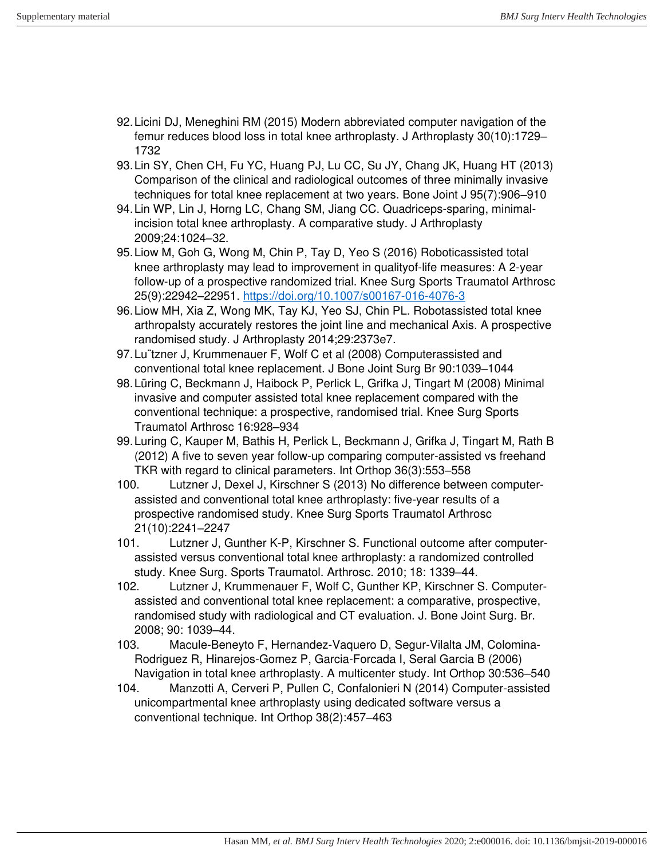- 92. Licini DJ, Meneghini RM (2015) Modern abbreviated computer navigation of the femur reduces blood loss in total knee arthroplasty. J Arthroplasty 30(10):1729– 1732
- 93. Lin SY, Chen CH, Fu YC, Huang PJ, Lu CC, Su JY, Chang JK, Huang HT (2013) Comparison of the clinical and radiological outcomes of three minimally invasive techniques for total knee replacement at two years. Bone Joint J 95(7):906–910
- 94. Lin WP, Lin J, Horng LC, Chang SM, Jiang CC. Quadriceps-sparing, minimalincision total knee arthroplasty. A comparative study. J Arthroplasty 2009;24:1024–32.
- 95. Liow M, Goh G, Wong M, Chin P, Tay D, Yeo S (2016) Roboticassisted total knee arthroplasty may lead to improvement in qualityof-life measures: A 2-year follow-up of a prospective randomized trial. Knee Surg Sports Traumatol Arthrosc 25(9):22942–22951.<https://doi.org/10.1007/s00167-016-4076-3>
- 96. Liow MH, Xia Z, Wong MK, Tay KJ, Yeo SJ, Chin PL. Robotassisted total knee arthropalsty accurately restores the joint line and mechanical Axis. A prospective randomised study. J Arthroplasty 2014;29:2373e7.
- 97. Lu¨tzner J, Krummenauer F, Wolf C et al (2008) Computerassisted and conventional total knee replacement. J Bone Joint Surg Br 90:1039–1044
- 98. Lüring C, Beckmann J, Haibock P, Perlick L, Grifka J, Tingart M (2008) Minimal invasive and computer assisted total knee replacement compared with the conventional technique: a prospective, randomised trial. Knee Surg Sports Traumatol Arthrosc 16:928–934
- 99. Luring C, Kauper M, Bathis H, Perlick L, Beckmann J, Grifka J, Tingart M, Rath B (2012) A five to seven year follow-up comparing computer-assisted vs freehand TKR with regard to clinical parameters. Int Orthop 36(3):553–558
- 100. Lutzner J, Dexel J, Kirschner S (2013) No difference between computerassisted and conventional total knee arthroplasty: five-year results of a prospective randomised study. Knee Surg Sports Traumatol Arthrosc 21(10):2241–2247
- 101. Lutzner J, Gunther K-P, Kirschner S. Functional outcome after computerassisted versus conventional total knee arthroplasty: a randomized controlled study. Knee Surg. Sports Traumatol. Arthrosc. 2010; 18: 1339–44.
- 102. Lutzner J, Krummenauer F, Wolf C, Gunther KP, Kirschner S. Computerassisted and conventional total knee replacement: a comparative, prospective, randomised study with radiological and CT evaluation. J. Bone Joint Surg. Br. 2008; 90: 1039–44.
- 103. Macule-Beneyto F, Hernandez-Vaquero D, Segur-Vilalta JM, Colomina-Rodriguez R, Hinarejos-Gomez P, Garcia-Forcada I, Seral Garcia B (2006) Navigation in total knee arthroplasty. A multicenter study. Int Orthop 30:536–540
- 104. Manzotti A, Cerveri P, Pullen C, Confalonieri N (2014) Computer-assisted unicompartmental knee arthroplasty using dedicated software versus a conventional technique. Int Orthop 38(2):457–463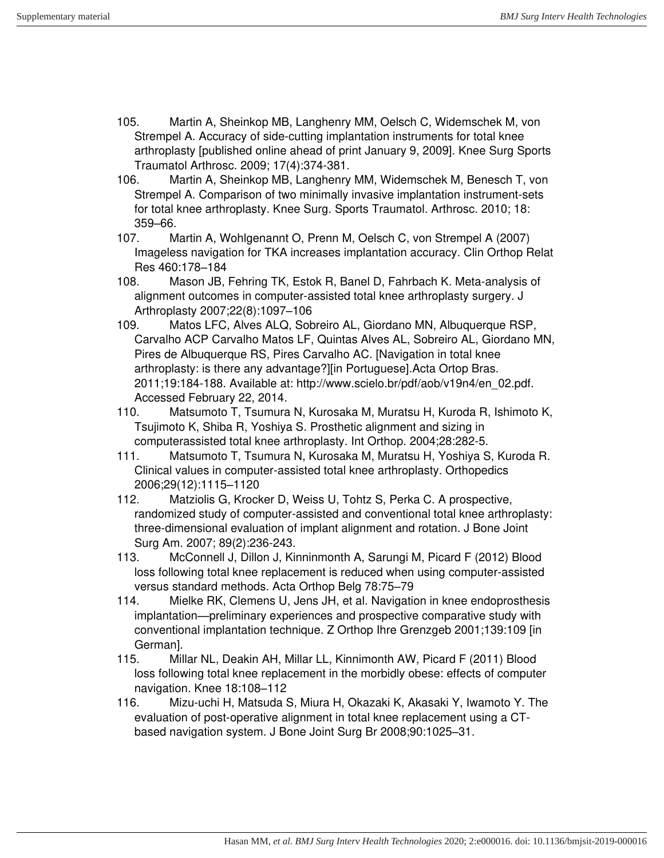- 105. Martin A, Sheinkop MB, Langhenry MM, Oelsch C, Widemschek M, von Strempel A. Accuracy of side-cutting implantation instruments for total knee arthroplasty [published online ahead of print January 9, 2009]. Knee Surg Sports Traumatol Arthrosc. 2009; 17(4):374-381.
- 106. Martin A, Sheinkop MB, Langhenry MM, Widemschek M, Benesch T, von Strempel A. Comparison of two minimally invasive implantation instrument-sets for total knee arthroplasty. Knee Surg. Sports Traumatol. Arthrosc. 2010; 18: 359–66.
- 107. Martin A, Wohlgenannt O, Prenn M, Oelsch C, von Strempel A (2007) Imageless navigation for TKA increases implantation accuracy. Clin Orthop Relat Res 460:178–184
- 108. Mason JB, Fehring TK, Estok R, Banel D, Fahrbach K. Meta-analysis of alignment outcomes in computer-assisted total knee arthroplasty surgery. J Arthroplasty 2007;22(8):1097–106
- 109. Matos LFC, Alves ALQ, Sobreiro AL, Giordano MN, Albuquerque RSP, Carvalho ACP Carvalho Matos LF, Quintas Alves AL, Sobreiro AL, Giordano MN, Pires de Albuquerque RS, Pires Carvalho AC. [Navigation in total knee arthroplasty: is there any advantage?][in Portuguese].Acta Ortop Bras. 2011;19:184-188. Available at: http://www.scielo.br/pdf/aob/v19n4/en\_02.pdf. Accessed February 22, 2014.
- 110. Matsumoto T, Tsumura N, Kurosaka M, Muratsu H, Kuroda R, Ishimoto K, Tsujimoto K, Shiba R, Yoshiya S. Prosthetic alignment and sizing in computerassisted total knee arthroplasty. Int Orthop. 2004;28:282-5.
- 111. Matsumoto T, Tsumura N, Kurosaka M, Muratsu H, Yoshiya S, Kuroda R. Clinical values in computer-assisted total knee arthroplasty. Orthopedics 2006;29(12):1115–1120
- 112. Matziolis G, Krocker D, Weiss U, Tohtz S, Perka C. A prospective, randomized study of computer-assisted and conventional total knee arthroplasty: three-dimensional evaluation of implant alignment and rotation. J Bone Joint Surg Am. 2007; 89(2):236-243.
- 113. McConnell J, Dillon J, Kinninmonth A, Sarungi M, Picard F (2012) Blood loss following total knee replacement is reduced when using computer-assisted versus standard methods. Acta Orthop Belg 78:75–79
- 114. Mielke RK, Clemens U, Jens JH, et al. Navigation in knee endoprosthesis implantation—preliminary experiences and prospective comparative study with conventional implantation technique. Z Orthop Ihre Grenzgeb 2001;139:109 [in German].
- 115. Millar NL, Deakin AH, Millar LL, Kinnimonth AW, Picard F (2011) Blood loss following total knee replacement in the morbidly obese: effects of computer navigation. Knee 18:108–112
- 116. Mizu-uchi H, Matsuda S, Miura H, Okazaki K, Akasaki Y, Iwamoto Y. The evaluation of post-operative alignment in total knee replacement using a CTbased navigation system. J Bone Joint Surg Br 2008;90:1025–31.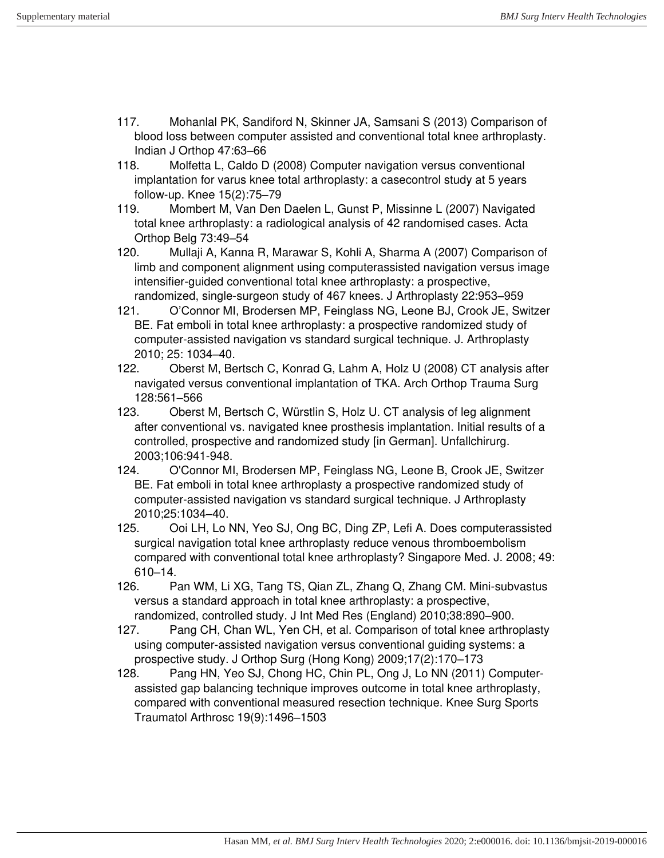- 117. Mohanlal PK, Sandiford N, Skinner JA, Samsani S (2013) Comparison of blood loss between computer assisted and conventional total knee arthroplasty. Indian J Orthop 47:63–66
- 118. Molfetta L, Caldo D (2008) Computer navigation versus conventional implantation for varus knee total arthroplasty: a casecontrol study at 5 years follow-up. Knee 15(2):75–79
- 119. Mombert M, Van Den Daelen L, Gunst P, Missinne L (2007) Navigated total knee arthroplasty: a radiological analysis of 42 randomised cases. Acta Orthop Belg 73:49–54
- 120. Mullaji A, Kanna R, Marawar S, Kohli A, Sharma A (2007) Comparison of limb and component alignment using computerassisted navigation versus image intensifier-guided conventional total knee arthroplasty: a prospective, randomized, single-surgeon study of 467 knees. J Arthroplasty 22:953–959
- 121. O'Connor MI, Brodersen MP, Feinglass NG, Leone BJ, Crook JE, Switzer BE. Fat emboli in total knee arthroplasty: a prospective randomized study of computer-assisted navigation vs standard surgical technique. J. Arthroplasty 2010; 25: 1034–40.
- 122. Oberst M, Bertsch C, Konrad G, Lahm A, Holz U (2008) CT analysis after navigated versus conventional implantation of TKA. Arch Orthop Trauma Surg 128:561–566
- 123. Oberst M, Bertsch C, Würstlin S, Holz U. CT analysis of leg alignment after conventional vs. navigated knee prosthesis implantation. Initial results of a controlled, prospective and randomized study [in German]. Unfallchirurg. 2003;106:941-948.
- 124. O'Connor MI, Brodersen MP, Feinglass NG, Leone B, Crook JE, Switzer BE. Fat emboli in total knee arthroplasty a prospective randomized study of computer-assisted navigation vs standard surgical technique. J Arthroplasty 2010;25:1034–40.
- 125. Ooi LH, Lo NN, Yeo SJ, Ong BC, Ding ZP, Lefi A. Does computerassisted surgical navigation total knee arthroplasty reduce venous thromboembolism compared with conventional total knee arthroplasty? Singapore Med. J. 2008; 49: 610–14.
- 126. Pan WM, Li XG, Tang TS, Qian ZL, Zhang Q, Zhang CM. Mini-subvastus versus a standard approach in total knee arthroplasty: a prospective, randomized, controlled study. J Int Med Res (England) 2010;38:890–900.
- 127. Pang CH, Chan WL, Yen CH, et al. Comparison of total knee arthroplasty using computer-assisted navigation versus conventional guiding systems: a prospective study. J Orthop Surg (Hong Kong) 2009;17(2):170–173
- 128. Pang HN, Yeo SJ, Chong HC, Chin PL, Ong J, Lo NN (2011) Computerassisted gap balancing technique improves outcome in total knee arthroplasty, compared with conventional measured resection technique. Knee Surg Sports Traumatol Arthrosc 19(9):1496–1503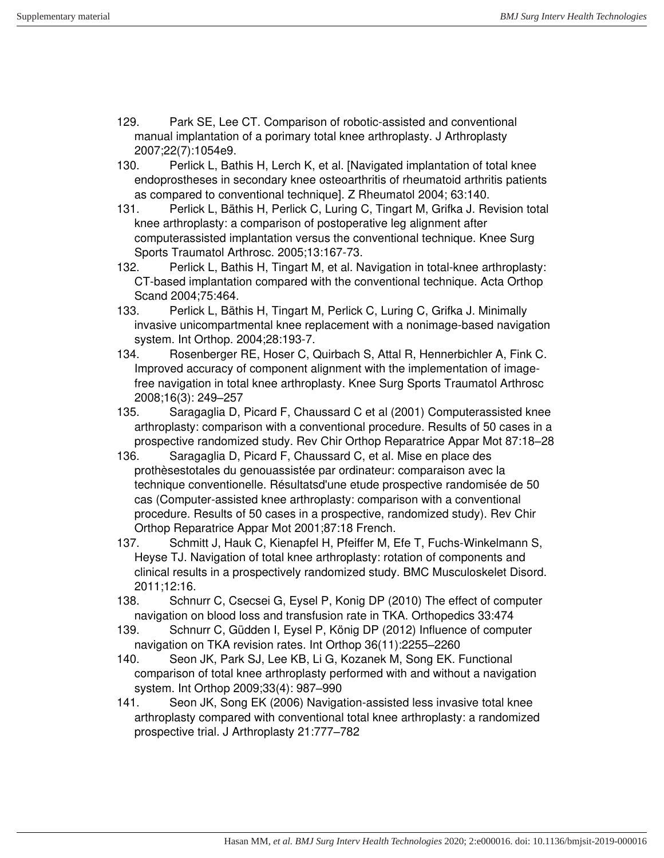- 129. Park SE, Lee CT. Comparison of robotic-assisted and conventional manual implantation of a porimary total knee arthroplasty. J Arthroplasty 2007;22(7):1054e9.
- 130. Perlick L, Bathis H, Lerch K, et al. [Navigated implantation of total knee endoprostheses in secondary knee osteoarthritis of rheumatoid arthritis patients as compared to conventional technique]. Z Rheumatol 2004; 63:140.
- 131. Perlick L, Bäthis H, Perlick C, Luring C, Tingart M, Grifka J. Revision total knee arthroplasty: a comparison of postoperative leg alignment after computerassisted implantation versus the conventional technique. Knee Surg Sports Traumatol Arthrosc. 2005;13:167-73.
- 132. Perlick L, Bathis H, Tingart M, et al. Navigation in total-knee arthroplasty: CT-based implantation compared with the conventional technique. Acta Orthop Scand 2004;75:464.
- 133. Perlick L, Bäthis H, Tingart M, Perlick C, Luring C, Grifka J. Minimally invasive unicompartmental knee replacement with a nonimage-based navigation system. Int Orthop. 2004;28:193-7.
- 134. Rosenberger RE, Hoser C, Quirbach S, Attal R, Hennerbichler A, Fink C. Improved accuracy of component alignment with the implementation of imagefree navigation in total knee arthroplasty. Knee Surg Sports Traumatol Arthrosc 2008;16(3): 249–257
- 135. Saragaglia D, Picard F, Chaussard C et al (2001) Computerassisted knee arthroplasty: comparison with a conventional procedure. Results of 50 cases in a prospective randomized study. Rev Chir Orthop Reparatrice Appar Mot 87:18–28
- 136. Saragaglia D, Picard F, Chaussard C, et al. Mise en place des prothèsestotales du genouassistée par ordinateur: comparaison avec la technique conventionelle. Résultatsd'une etude prospective randomisée de 50 cas (Computer-assisted knee arthroplasty: comparison with a conventional procedure. Results of 50 cases in a prospective, randomized study). Rev Chir Orthop Reparatrice Appar Mot 2001;87:18 French.
- 137. Schmitt J, Hauk C, Kienapfel H, Pfeiffer M, Efe T, Fuchs-Winkelmann S, Heyse TJ. Navigation of total knee arthroplasty: rotation of components and clinical results in a prospectively randomized study. BMC Musculoskelet Disord. 2011;12:16.
- 138. Schnurr C, Csecsei G, Eysel P, Konig DP (2010) The effect of computer navigation on blood loss and transfusion rate in TKA. Orthopedics 33:474
- 139. Schnurr C, Güdden I, Eysel P, König DP (2012) Influence of computer navigation on TKA revision rates. Int Orthop 36(11):2255–2260
- 140. Seon JK, Park SJ, Lee KB, Li G, Kozanek M, Song EK. Functional comparison of total knee arthroplasty performed with and without a navigation system. Int Orthop 2009;33(4): 987–990
- 141. Seon JK, Song EK (2006) Navigation-assisted less invasive total knee arthroplasty compared with conventional total knee arthroplasty: a randomized prospective trial. J Arthroplasty 21:777–782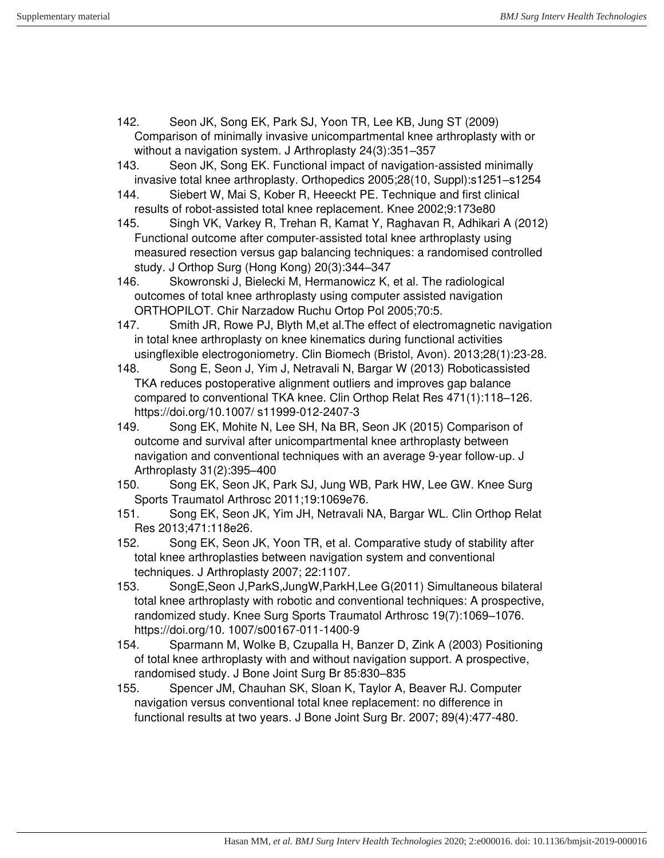- 142. Seon JK, Song EK, Park SJ, Yoon TR, Lee KB, Jung ST (2009) Comparison of minimally invasive unicompartmental knee arthroplasty with or without a navigation system. J Arthroplasty 24(3):351–357
- 143. Seon JK, Song EK. Functional impact of navigation-assisted minimally invasive total knee arthroplasty. Orthopedics 2005;28(10, Suppl):s1251–s1254
- 144. Siebert W, Mai S, Kober R, Heeeckt PE. Technique and first clinical results of robot-assisted total knee replacement. Knee 2002;9:173e80
- 145. Singh VK, Varkey R, Trehan R, Kamat Y, Raghavan R, Adhikari A (2012) Functional outcome after computer-assisted total knee arthroplasty using measured resection versus gap balancing techniques: a randomised controlled study. J Orthop Surg (Hong Kong) 20(3):344–347
- 146. Skowronski J, Bielecki M, Hermanowicz K, et al. The radiological outcomes of total knee arthroplasty using computer assisted navigation ORTHOPILOT. Chir Narzadow Ruchu Ortop Pol 2005;70:5.
- 147. Smith JR, Rowe PJ, Blyth M,et al.The effect of electromagnetic navigation in total knee arthroplasty on knee kinematics during functional activities usingflexible electrogoniometry. Clin Biomech (Bristol, Avon). 2013;28(1):23-28.
- 148. Song E, Seon J, Yim J, Netravali N, Bargar W (2013) Roboticassisted TKA reduces postoperative alignment outliers and improves gap balance compared to conventional TKA knee. Clin Orthop Relat Res 471(1):118–126. https://doi.org/10.1007/ s11999-012-2407-3
- 149. Song EK, Mohite N, Lee SH, Na BR, Seon JK (2015) Comparison of outcome and survival after unicompartmental knee arthroplasty between navigation and conventional techniques with an average 9-year follow-up. J Arthroplasty 31(2):395–400
- 150. Song EK, Seon JK, Park SJ, Jung WB, Park HW, Lee GW. Knee Surg Sports Traumatol Arthrosc 2011;19:1069e76.
- 151. Song EK, Seon JK, Yim JH, Netravali NA, Bargar WL. Clin Orthop Relat Res 2013;471:118e26.
- 152. Song EK, Seon JK, Yoon TR, et al. Comparative study of stability after total knee arthroplasties between navigation system and conventional techniques. J Arthroplasty 2007; 22:1107.
- 153. SongE,Seon J,ParkS,JungW,ParkH,Lee G(2011) Simultaneous bilateral total knee arthroplasty with robotic and conventional techniques: A prospective, randomized study. Knee Surg Sports Traumatol Arthrosc 19(7):1069–1076. https://doi.org/10. 1007/s00167-011-1400-9
- 154. Sparmann M, Wolke B, Czupalla H, Banzer D, Zink A (2003) Positioning of total knee arthroplasty with and without navigation support. A prospective, randomised study. J Bone Joint Surg Br 85:830–835
- 155. Spencer JM, Chauhan SK, Sloan K, Taylor A, Beaver RJ. Computer navigation versus conventional total knee replacement: no difference in functional results at two years. J Bone Joint Surg Br. 2007; 89(4):477-480.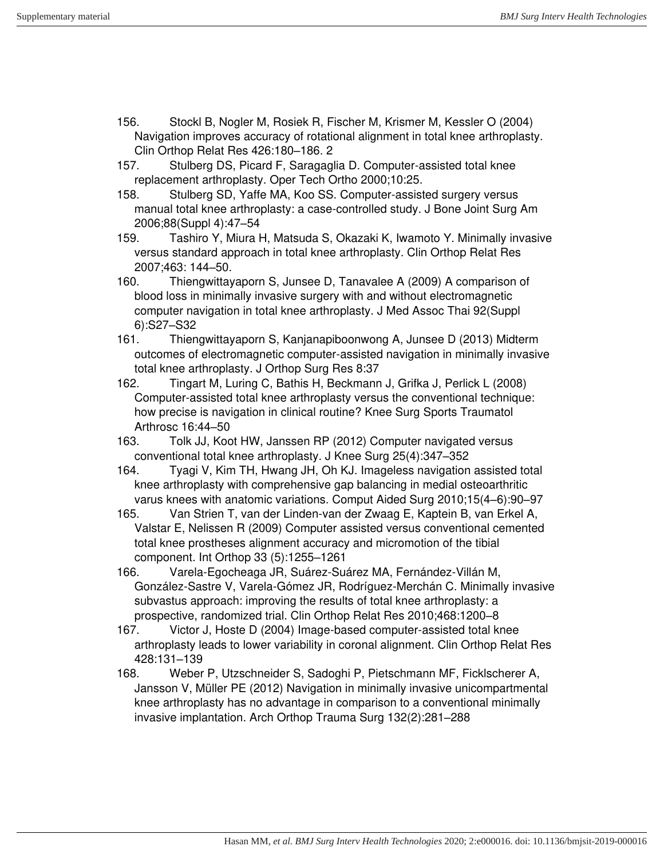- 156. Stockl B, Nogler M, Rosiek R, Fischer M, Krismer M, Kessler O (2004) Navigation improves accuracy of rotational alignment in total knee arthroplasty. Clin Orthop Relat Res 426:180–186. 2
- 157. Stulberg DS, Picard F, Saragaglia D. Computer-assisted total knee replacement arthroplasty. Oper Tech Ortho 2000;10:25.
- 158. Stulberg SD, Yaffe MA, Koo SS. Computer-assisted surgery versus manual total knee arthroplasty: a case-controlled study. J Bone Joint Surg Am 2006;88(Suppl 4):47–54

159. Tashiro Y, Miura H, Matsuda S, Okazaki K, Iwamoto Y. Minimally invasive versus standard approach in total knee arthroplasty. Clin Orthop Relat Res 2007;463: 144–50.

- 160. Thiengwittayaporn S, Junsee D, Tanavalee A (2009) A comparison of blood loss in minimally invasive surgery with and without electromagnetic computer navigation in total knee arthroplasty. J Med Assoc Thai 92(Suppl 6):S27–S32
- 161. Thiengwittayaporn S, Kanjanapiboonwong A, Junsee D (2013) Midterm outcomes of electromagnetic computer-assisted navigation in minimally invasive total knee arthroplasty. J Orthop Surg Res 8:37
- 162. Tingart M, Luring C, Bathis H, Beckmann J, Grifka J, Perlick L (2008) Computer-assisted total knee arthroplasty versus the conventional technique: how precise is navigation in clinical routine? Knee Surg Sports Traumatol Arthrosc 16:44–50
- 163. Tolk JJ, Koot HW, Janssen RP (2012) Computer navigated versus conventional total knee arthroplasty. J Knee Surg 25(4):347–352
- 164. Tyagi V, Kim TH, Hwang JH, Oh KJ. Imageless navigation assisted total knee arthroplasty with comprehensive gap balancing in medial osteoarthritic varus knees with anatomic variations. Comput Aided Surg 2010;15(4–6):90–97
- 165. Van Strien T, van der Linden-van der Zwaag E, Kaptein B, van Erkel A, Valstar E, Nelissen R (2009) Computer assisted versus conventional cemented total knee prostheses alignment accuracy and micromotion of the tibial component. Int Orthop 33 (5):1255–1261
- 166. Varela-Egocheaga JR, Suárez-Suárez MA, Fernández-Villán M, González-Sastre V, Varela-Gómez JR, Rodríguez-Merchán C. Minimally invasive subvastus approach: improving the results of total knee arthroplasty: a prospective, randomized trial. Clin Orthop Relat Res 2010;468:1200–8
- 167. Victor J, Hoste D (2004) Image-based computer-assisted total knee arthroplasty leads to lower variability in coronal alignment. Clin Orthop Relat Res 428:131–139
- 168. Weber P, Utzschneider S, Sadoghi P, Pietschmann MF, Ficklscherer A, Jansson V, Müller PE (2012) Navigation in minimally invasive unicompartmental knee arthroplasty has no advantage in comparison to a conventional minimally invasive implantation. Arch Orthop Trauma Surg 132(2):281–288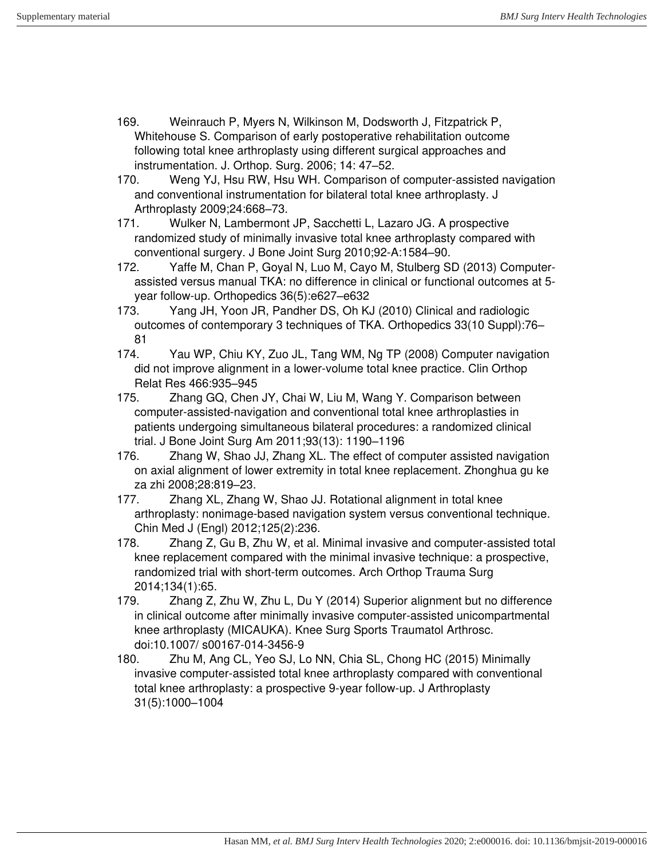- 169. Weinrauch P, Myers N, Wilkinson M, Dodsworth J, Fitzpatrick P, Whitehouse S. Comparison of early postoperative rehabilitation outcome following total knee arthroplasty using different surgical approaches and instrumentation. J. Orthop. Surg. 2006; 14: 47–52.
- 170. Weng YJ, Hsu RW, Hsu WH. Comparison of computer-assisted navigation and conventional instrumentation for bilateral total knee arthroplasty. J Arthroplasty 2009;24:668–73.
- 171. Wulker N, Lambermont JP, Sacchetti L, Lazaro JG. A prospective randomized study of minimally invasive total knee arthroplasty compared with conventional surgery. J Bone Joint Surg 2010;92-A:1584–90.
- 172. Yaffe M, Chan P, Goyal N, Luo M, Cayo M, Stulberg SD (2013) Computerassisted versus manual TKA: no difference in clinical or functional outcomes at 5 year follow-up. Orthopedics 36(5):e627–e632
- 173. Yang JH, Yoon JR, Pandher DS, Oh KJ (2010) Clinical and radiologic outcomes of contemporary 3 techniques of TKA. Orthopedics 33(10 Suppl):76– 81
- 174. Yau WP, Chiu KY, Zuo JL, Tang WM, Ng TP (2008) Computer navigation did not improve alignment in a lower-volume total knee practice. Clin Orthop Relat Res 466:935–945
- 175. Zhang GQ, Chen JY, Chai W, Liu M, Wang Y. Comparison between computer-assisted-navigation and conventional total knee arthroplasties in patients undergoing simultaneous bilateral procedures: a randomized clinical trial. J Bone Joint Surg Am 2011;93(13): 1190–1196
- 176. Zhang W, Shao JJ, Zhang XL. The effect of computer assisted navigation on axial alignment of lower extremity in total knee replacement. Zhonghua gu ke za zhi 2008;28:819–23.
- 177. Zhang XL, Zhang W, Shao JJ. Rotational alignment in total knee arthroplasty: nonimage-based navigation system versus conventional technique. Chin Med J (Engl) 2012;125(2):236.
- 178. Zhang Z, Gu B, Zhu W, et al. Minimal invasive and computer-assisted total knee replacement compared with the minimal invasive technique: a prospective, randomized trial with short-term outcomes. Arch Orthop Trauma Surg 2014;134(1):65.
- 179. Zhang Z, Zhu W, Zhu L, Du Y (2014) Superior alignment but no difference in clinical outcome after minimally invasive computer-assisted unicompartmental knee arthroplasty (MICAUKA). Knee Surg Sports Traumatol Arthrosc. doi:10.1007/ s00167-014-3456-9
- 180. Zhu M, Ang CL, Yeo SJ, Lo NN, Chia SL, Chong HC (2015) Minimally invasive computer-assisted total knee arthroplasty compared with conventional total knee arthroplasty: a prospective 9-year follow-up. J Arthroplasty 31(5):1000–1004